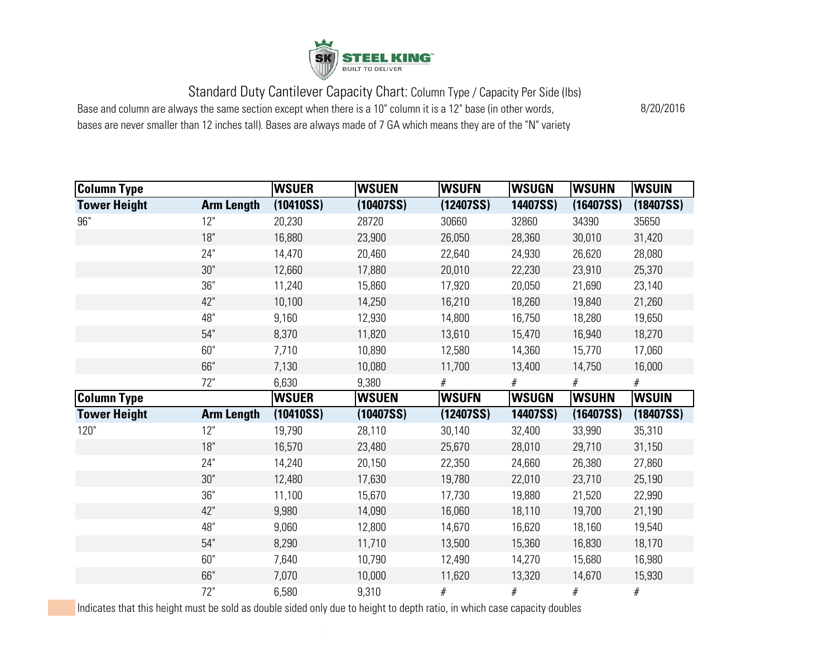

Base and column are always the same section except when there is a 10" column it is a 12" base (in other words,

bases are never smaller than 12 inches tall). Bases are always made of 7 GA which means they are of the "N" variety

8/20/2016

| Column Type         |                   | <b>WSUER</b> | <b>WSUEN</b> | <b>WSUFN</b> | <b>WSUGN</b> | <b>WSUHN</b> | <b>WSUIN</b> |
|---------------------|-------------------|--------------|--------------|--------------|--------------|--------------|--------------|
| <b>Tower Height</b> | <b>Arm Length</b> | (10410SS)    | (10407SS)    | (12407SS)    | 14407SS)     | (16407SS)    | (18407SS)    |
| 96"                 | 12"               | 20,230       | 28720        | 30660        | 32860        | 34390        | 35650        |
|                     | 18"               | 16,880       | 23,900       | 26,050       | 28,360       | 30,010       | 31,420       |
|                     | 24"               | 14,470       | 20,460       | 22,640       | 24,930       | 26,620       | 28,080       |
|                     | 30"               | 12,660       | 17,880       | 20,010       | 22,230       | 23,910       | 25,370       |
|                     | 36"               | 11,240       | 15,860       | 17,920       | 20,050       | 21,690       | 23,140       |
|                     | 42"               | 10,100       | 14,250       | 16,210       | 18,260       | 19,840       | 21,260       |
|                     | 48"               | 9,160        | 12,930       | 14,800       | 16,750       | 18,280       | 19,650       |
|                     | 54"               | 8,370        | 11,820       | 13,610       | 15,470       | 16,940       | 18,270       |
|                     | 60"               | 7,710        | 10,890       | 12,580       | 14,360       | 15,770       | 17,060       |
|                     | 66"               | 7,130        | 10,080       | 11,700       | 13,400       | 14,750       | 16,000       |
|                     | 72"               | 6,630        | 9,380        | $\#$         | #            | $\#$         | $\#$         |
| <b>Column Type</b>  |                   | <b>WSUER</b> | <b>WSUEN</b> | <b>WSUFN</b> | <b>WSUGN</b> | <b>WSUHN</b> | <b>WSUIN</b> |
| <b>Tower Height</b> | <b>Arm Length</b> | (10410SS)    | (10407SS)    | (12407SS)    | 14407SS)     | (16407SS)    | (18407SS)    |
| 120"                | 12"               | 19,790       | 28,110       | 30,140       | 32,400       | 33,990       | 35,310       |
|                     | 18"               | 16,570       | 23,480       | 25,670       | 28,010       | 29,710       | 31,150       |
|                     | 24"               | 14,240       | 20,150       | 22,350       | 24,660       | 26,380       | 27,860       |
|                     | 30"               | 12,480       | 17,630       | 19,780       | 22,010       | 23,710       | 25,190       |
|                     | 36"               | 11,100       | 15,670       | 17,730       | 19,880       | 21,520       | 22,990       |
|                     | 42"               | 9,980        | 14,090       | 16,060       | 18,110       | 19,700       | 21,190       |
|                     | 48"               | 9,060        | 12,800       | 14,670       | 16,620       | 18,160       | 19,540       |
|                     | 54"               | 8,290        | 11,710       | 13,500       | 15,360       | 16,830       | 18,170       |
|                     | 60"               | 7,640        | 10,790       | 12,490       | 14,270       | 15,680       | 16,980       |
|                     | 66"               | 7,070        | 10,000       | 11,620       | 13,320       | 14,670       | 15,930       |
|                     |                   |              |              |              |              |              |              |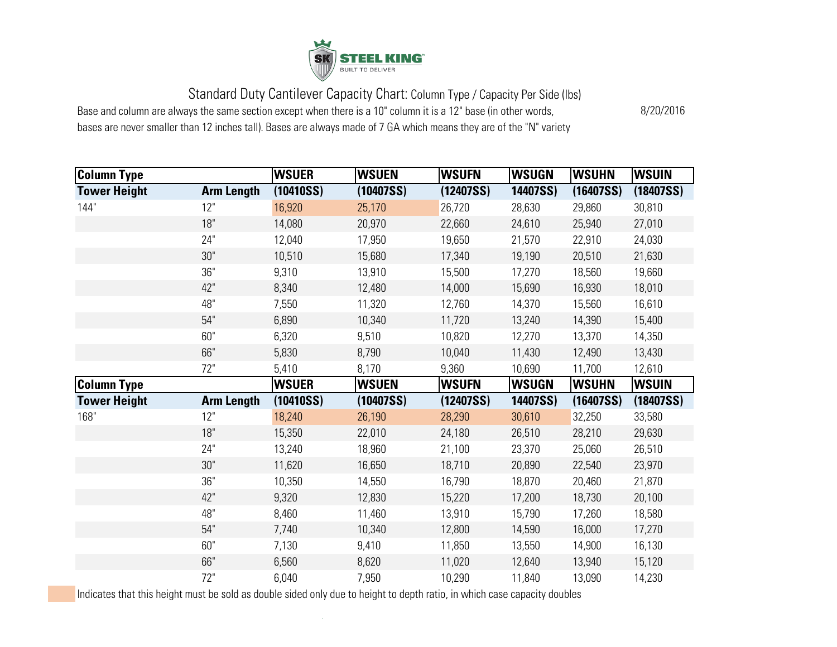

Base and column are always the same section except when there is a 10" column it is a 12" base (in other words,

bases are never smaller than 12 inches tall). Bases are always made of 7 GA which means they are of the "N" variety

8/20/2016

| Column Type         |                   | <b>WSUER</b> | <b>WSUEN</b> | <b>WSUFN</b> | <b>WSUGN</b> | <b>WSUHN</b> | <b>WSUIN</b> |
|---------------------|-------------------|--------------|--------------|--------------|--------------|--------------|--------------|
| <b>Tower Height</b> | <b>Arm Length</b> | (10410SS)    | (10407SS)    | (12407SS)    | 14407SS)     | (16407SS)    | (18407SS)    |
| 144"                | 12"               | 16,920       | 25,170       | 26,720       | 28,630       | 29,860       | 30,810       |
|                     | 18"               | 14,080       | 20,970       | 22,660       | 24,610       | 25,940       | 27,010       |
|                     | 24"               | 12,040       | 17,950       | 19,650       | 21,570       | 22,910       | 24,030       |
|                     | 30"               | 10,510       | 15,680       | 17,340       | 19,190       | 20,510       | 21,630       |
|                     | 36"               | 9,310        | 13,910       | 15,500       | 17,270       | 18,560       | 19,660       |
|                     | 42"               | 8,340        | 12,480       | 14,000       | 15,690       | 16,930       | 18,010       |
|                     | 48"               | 7,550        | 11,320       | 12,760       | 14,370       | 15,560       | 16,610       |
|                     | 54"               | 6,890        | 10,340       | 11,720       | 13,240       | 14,390       | 15,400       |
|                     | 60"               | 6,320        | 9,510        | 10,820       | 12,270       | 13,370       | 14,350       |
|                     | 66"               | 5,830        | 8,790        | 10,040       | 11,430       | 12,490       | 13,430       |
|                     | 72"               | 5,410        | 8,170        | 9,360        | 10,690       | 11,700       | 12,610       |
| <b>Column Type</b>  |                   | <b>WSUER</b> | <b>WSUEN</b> | <b>WSUFN</b> | <b>WSUGN</b> | <b>WSUHN</b> | <b>WSUIN</b> |
| <b>Tower Height</b> | <b>Arm Length</b> | (10410SS)    | (10407SS)    | (12407SS)    | 14407SS)     | (16407SS)    | (18407SS)    |
| 168"                | 12"               | 18,240       | 26,190       | 28,290       | 30,610       | 32,250       | 33,580       |
|                     | 18"               | 15,350       | 22,010       | 24,180       | 26,510       | 28,210       | 29,630       |
|                     | 24"               | 13,240       | 18,960       | 21,100       | 23,370       | 25,060       | 26,510       |
|                     | 30"               | 11,620       | 16,650       | 18,710       | 20,890       | 22,540       | 23,970       |
|                     | 36"               | 10,350       | 14,550       | 16,790       | 18,870       | 20,460       | 21,870       |
|                     | 42"               | 9,320        | 12,830       | 15,220       | 17,200       | 18,730       | 20,100       |
|                     | 48"               | 8,460        | 11,460       | 13,910       | 15,790       | 17,260       | 18,580       |
|                     |                   |              |              |              | 14,590       |              | 17,270       |
|                     | 54"               | 7,740        | 10,340       | 12,800       |              | 16,000       |              |
|                     | 60"               | 7,130        | 9,410        | 11,850       | 13,550       | 14,900       | 16,130       |
|                     | 66"               | 6,560        | 8,620        | 11,020       | 12,640       | 13,940       | 15,120       |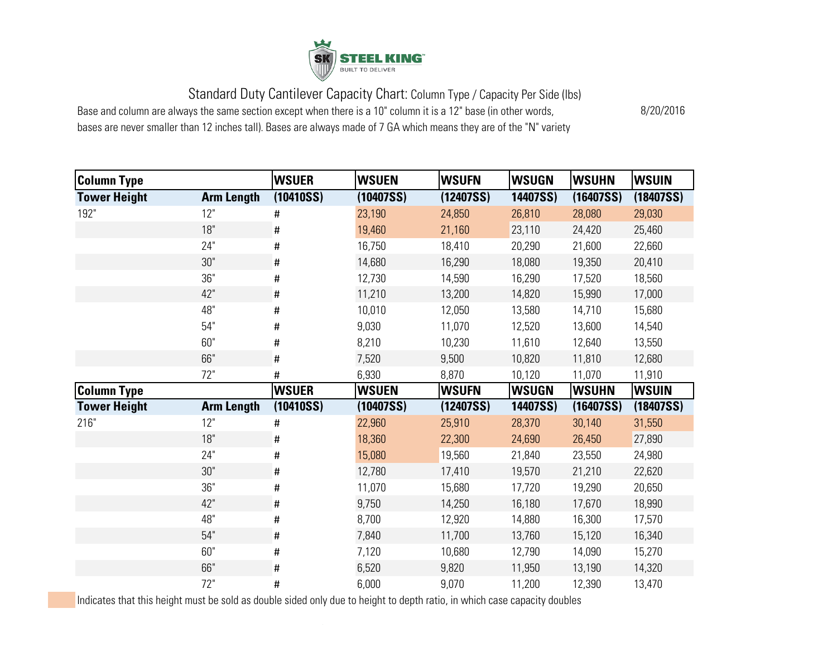

Base and column are always the same section except when there is a 10" column it is a 12" base (in other words,

bases are never smaller than 12 inches tall). Bases are always made of 7 GA which means they are of the "N" variety

8/20/2016

| <b>Column Type</b>  |                   | <b>WSUER</b> | <b>WSUEN</b> | <b>WSUFN</b> | <b>WSUGN</b> | <b>WSUHN</b> | <b>WSUIN</b> |
|---------------------|-------------------|--------------|--------------|--------------|--------------|--------------|--------------|
| <b>Tower Height</b> | <b>Arm Length</b> | (10410SS)    | (10407SS)    | (12407SS)    | 14407SS)     | (16407SS)    | (18407SS)    |
| 192"                | 12"               | #            | 23,190       | 24,850       | 26,810       | 28,080       | 29,030       |
|                     | 18"               | #            | 19,460       | 21,160       | 23,110       | 24,420       | 25,460       |
|                     | 24"               | #            | 16,750       | 18,410       | 20,290       | 21,600       | 22,660       |
|                     | 30"               | #            | 14,680       | 16,290       | 18,080       | 19,350       | 20,410       |
|                     | 36"               | #            | 12,730       | 14,590       | 16,290       | 17,520       | 18,560       |
|                     | 42"               | $\#$         | 11,210       | 13,200       | 14,820       | 15,990       | 17,000       |
|                     | 48"               | #            | 10,010       | 12,050       | 13,580       | 14,710       | 15,680       |
|                     | 54"               | #            | 9,030        | 11,070       | 12,520       | 13,600       | 14,540       |
|                     | 60"               | #            | 8,210        | 10,230       | 11,610       | 12,640       | 13,550       |
|                     | 66"               | #            | 7,520        | 9,500        | 10,820       | 11,810       | 12,680       |
|                     | 72"               | #            | 6,930        | 8,870        | 10,120       | 11,070       | 11,910       |
|                     |                   |              |              |              |              |              |              |
| <b>Column Type</b>  |                   | <b>WSUER</b> | <b>WSUEN</b> | <b>WSUFN</b> | <b>WSUGN</b> | <b>WSUHN</b> | <b>WSUIN</b> |
| <b>Tower Height</b> | <b>Arm Length</b> | (10410SS)    | (10407SS)    | (12407SS)    | 14407SS)     | (16407SS)    | (18407SS)    |
| 216"                | 12"               | #            | 22,960       | 25,910       | 28,370       | 30,140       | 31,550       |
|                     | 18"               | #            | 18,360       | 22,300       | 24,690       | 26,450       | 27,890       |
|                     | 24"               | #            | 15,080       | 19,560       | 21,840       | 23,550       | 24,980       |
|                     | $30"$             | #            | 12,780       | 17,410       | 19,570       | 21,210       | 22,620       |
|                     | 36"               | #            | 11,070       | 15,680       | 17,720       | 19,290       | 20,650       |
|                     | 42"               | #            | 9,750        | 14,250       | 16,180       | 17,670       | 18,990       |
|                     | 48"               | #            | 8,700        | 12,920       | 14,880       | 16,300       | 17,570       |
|                     | 54"               | #            | 7,840        | 11,700       | 13,760       | 15,120       | 16,340       |
|                     | 60"               | #            | 7,120        | 10,680       | 12,790       | 14,090       | 15,270       |
|                     | 66"               | #            | 6,520        | 9,820        | 11,950       | 13,190       | 14,320       |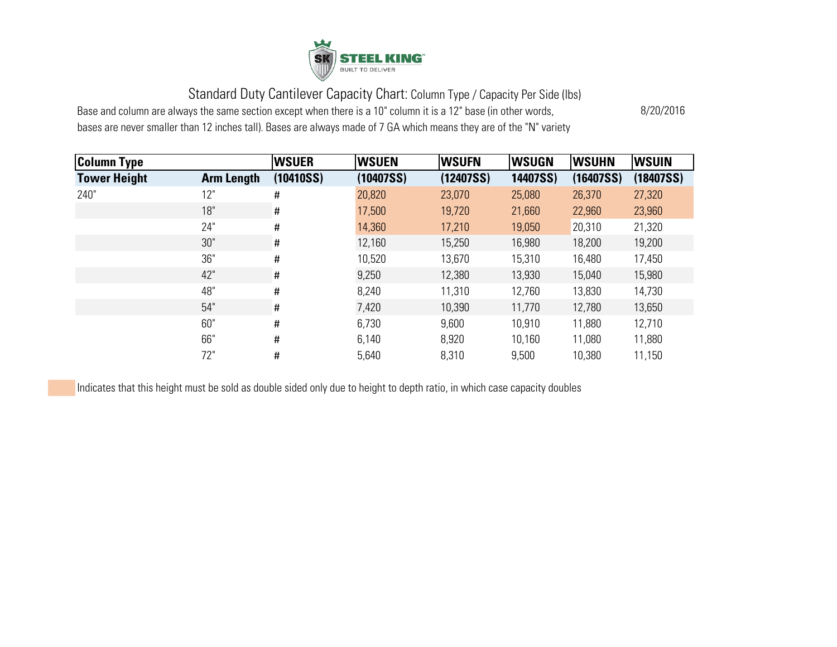

Base and column are always the same section except when there is a 10" column it is a 12" base (in other words,

bases are never smaller than 12 inches tall). Bases are always made of 7 GA which means they are of the "N" variety

8/20/2016

| <b>Column Type</b>  |                   | <b>WSUER</b> | <b>WSUEN</b> | <b>WSUFN</b> | <b>WSUGN</b> | <b>WSUHN</b> | <b>WSUIN</b> |
|---------------------|-------------------|--------------|--------------|--------------|--------------|--------------|--------------|
| <b>Tower Height</b> | <b>Arm Length</b> | (10410SS)    | (10407SS)    | (12407SS)    | 14407SS)     | (16407SS)    | (18407SS)    |
| 240"                | 12"               | #            | 20,820       | 23,070       | 25,080       | 26,370       | 27,320       |
|                     | 18"               | $\sharp$     | 17,500       | 19,720       | 21,660       | 22,960       | 23,960       |
|                     | 24"               | #            | 14,360       | 17,210       | 19,050       | 20,310       | 21,320       |
|                     | 30"               | Ħ,           | 12,160       | 15,250       | 16,980       | 18,200       | 19,200       |
|                     | 36"               | $\sharp$     | 10,520       | 13,670       | 15,310       | 16,480       | 17,450       |
|                     | 42"               | #            | 9,250        | 12,380       | 13,930       | 15,040       | 15,980       |
|                     | 48"               | #            | 8,240        | 11,310       | 12,760       | 13,830       | 14,730       |
|                     | 54"               | #            | 7,420        | 10,390       | 11,770       | 12,780       | 13,650       |
|                     | 60"               | #            | 6,730        | 9,600        | 10,910       | 11,880       | 12,710       |
|                     | 66"               | #            | 6,140        | 8,920        | 10,160       | 11,080       | 11,880       |
|                     | 72"               | #            | 5,640        | 8,310        | 9,500        | 10,380       | 11,150       |